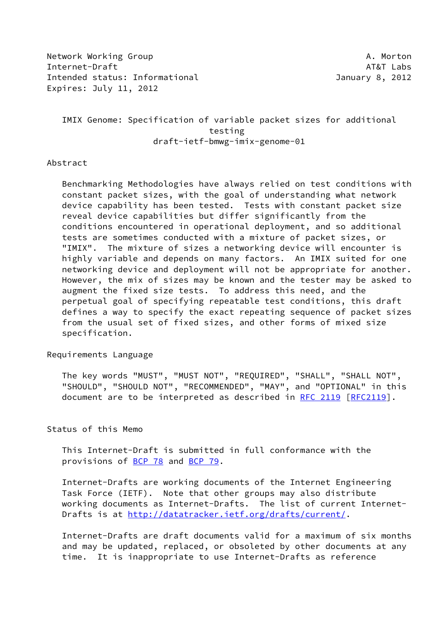Network Working Group **A. Morton** Internet-Draft AT&T Labs Intended status: Informational January 8, 2012 Expires: July 11, 2012

 IMIX Genome: Specification of variable packet sizes for additional testing draft-ietf-bmwg-imix-genome-01

#### Abstract

 Benchmarking Methodologies have always relied on test conditions with constant packet sizes, with the goal of understanding what network device capability has been tested. Tests with constant packet size reveal device capabilities but differ significantly from the conditions encountered in operational deployment, and so additional tests are sometimes conducted with a mixture of packet sizes, or "IMIX". The mixture of sizes a networking device will encounter is highly variable and depends on many factors. An IMIX suited for one networking device and deployment will not be appropriate for another. However, the mix of sizes may be known and the tester may be asked to augment the fixed size tests. To address this need, and the perpetual goal of specifying repeatable test conditions, this draft defines a way to specify the exact repeating sequence of packet sizes from the usual set of fixed sizes, and other forms of mixed size specification.

# Requirements Language

 The key words "MUST", "MUST NOT", "REQUIRED", "SHALL", "SHALL NOT", "SHOULD", "SHOULD NOT", "RECOMMENDED", "MAY", and "OPTIONAL" in this document are to be interpreted as described in [RFC 2119 \[RFC2119](https://datatracker.ietf.org/doc/pdf/rfc2119)].

## Status of this Memo

 This Internet-Draft is submitted in full conformance with the provisions of [BCP 78](https://datatracker.ietf.org/doc/pdf/bcp78) and [BCP 79](https://datatracker.ietf.org/doc/pdf/bcp79).

 Internet-Drafts are working documents of the Internet Engineering Task Force (IETF). Note that other groups may also distribute working documents as Internet-Drafts. The list of current Internet Drafts is at<http://datatracker.ietf.org/drafts/current/>.

 Internet-Drafts are draft documents valid for a maximum of six months and may be updated, replaced, or obsoleted by other documents at any time. It is inappropriate to use Internet-Drafts as reference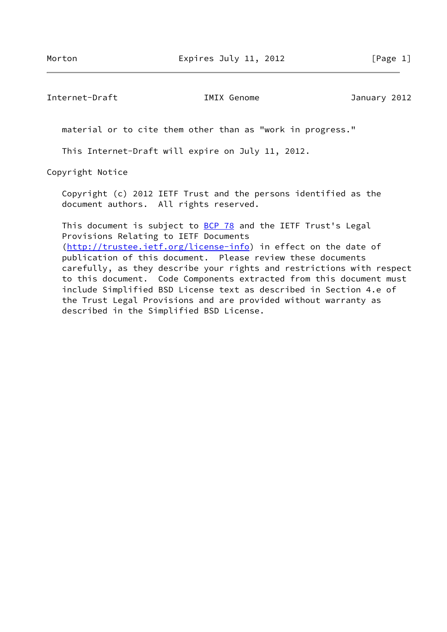Internet-Draft IMIX Genome January 2012

material or to cite them other than as "work in progress."

This Internet-Draft will expire on July 11, 2012.

Copyright Notice

 Copyright (c) 2012 IETF Trust and the persons identified as the document authors. All rights reserved.

This document is subject to **[BCP 78](https://datatracker.ietf.org/doc/pdf/bcp78)** and the IETF Trust's Legal Provisions Relating to IETF Documents [\(http://trustee.ietf.org/license-info](http://trustee.ietf.org/license-info)) in effect on the date of publication of this document. Please review these documents carefully, as they describe your rights and restrictions with respect to this document. Code Components extracted from this document must include Simplified BSD License text as described in Section 4.e of the Trust Legal Provisions and are provided without warranty as described in the Simplified BSD License.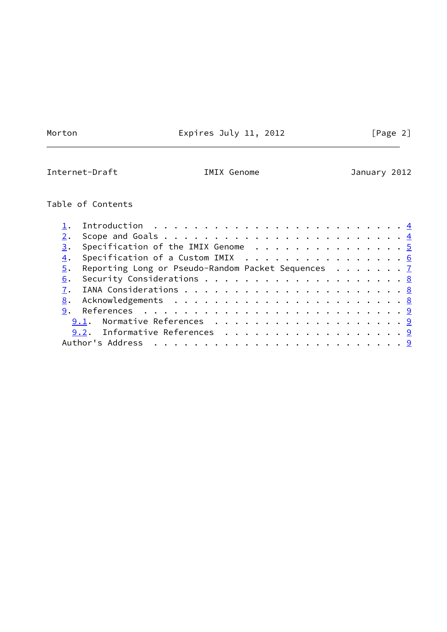**Contract Contract Contract** 

Morton **Expires July 11, 2012** [Page 2]

 $\overline{\phantom{0}}$ 

Internet-Draft **IMIX Genome** January 2012

# Table of Contents

|    | 1. Introduction $\ldots \ldots \ldots \ldots \ldots \ldots \ldots \ldots \ldots$ |  |
|----|----------------------------------------------------------------------------------|--|
|    |                                                                                  |  |
| 3. | Specification of the IMIX Genome $\cdots$ 5                                      |  |
|    | 4. Specification of a Custom IMIX 6                                              |  |
|    | 5. Reporting Long or Pseudo-Random Packet Sequences 7                            |  |
|    |                                                                                  |  |
|    |                                                                                  |  |
|    |                                                                                  |  |
|    |                                                                                  |  |
|    | 9.1. Normative References 9                                                      |  |
|    | 9.2. Informative References 9                                                    |  |
|    |                                                                                  |  |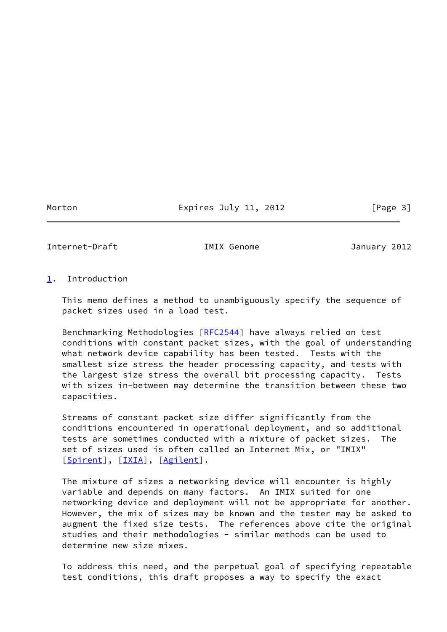## Morton **Expires July 11, 2012** [Page 3]

<span id="page-3-1"></span>Internet-Draft IMIX Genome January 2012

# <span id="page-3-0"></span>[1](#page-3-0). Introduction

 This memo defines a method to unambiguously specify the sequence of packet sizes used in a load test.

 Benchmarking Methodologies [[RFC2544\]](https://datatracker.ietf.org/doc/pdf/rfc2544) have always relied on test conditions with constant packet sizes, with the goal of understanding what network device capability has been tested. Tests with the smallest size stress the header processing capacity, and tests with the largest size stress the overall bit processing capacity. Tests with sizes in-between may determine the transition between these two capacities.

 Streams of constant packet size differ significantly from the conditions encountered in operational deployment, and so additional tests are sometimes conducted with a mixture of packet sizes. The set of sizes used is often called an Internet Mix, or "IMIX" [\[Spirent](#page-9-3)], [[IXIA\]](#page-9-4), [[Agilent\]](#page-9-5).

 The mixture of sizes a networking device will encounter is highly variable and depends on many factors. An IMIX suited for one networking device and deployment will not be appropriate for another. However, the mix of sizes may be known and the tester may be asked to augment the fixed size tests. The references above cite the original studies and their methodologies - similar methods can be used to determine new size mixes.

 To address this need, and the perpetual goal of specifying repeatable test conditions, this draft proposes a way to specify the exact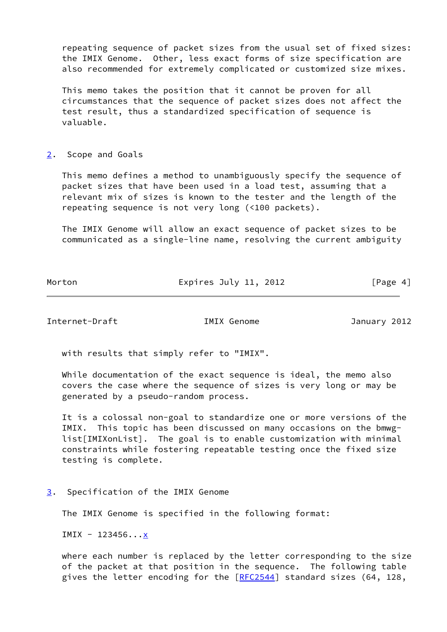repeating sequence of packet sizes from the usual set of fixed sizes: the IMIX Genome. Other, less exact forms of size specification are also recommended for extremely complicated or customized size mixes.

 This memo takes the position that it cannot be proven for all circumstances that the sequence of packet sizes does not affect the test result, thus a standardized specification of sequence is valuable.

#### <span id="page-4-0"></span>[2](#page-4-0). Scope and Goals

 This memo defines a method to unambiguously specify the sequence of packet sizes that have been used in a load test, assuming that a relevant mix of sizes is known to the tester and the length of the repeating sequence is not very long (<100 packets).

 The IMIX Genome will allow an exact sequence of packet sizes to be communicated as a single-line name, resolving the current ambiguity

Morton **Expires July 11, 2012** [Page 4]

<span id="page-4-2"></span>Internet-Draft IMIX Genome January 2012

with results that simply refer to "IMIX".

 While documentation of the exact sequence is ideal, the memo also covers the case where the sequence of sizes is very long or may be generated by a pseudo-random process.

 It is a colossal non-goal to standardize one or more versions of the IMIX. This topic has been discussed on many occasions on the bmwg list[IMIXonList]. The goal is to enable customization with minimal constraints while fostering repeatable testing once the fixed size testing is complete.

<span id="page-4-1"></span>[3](#page-4-1). Specification of the IMIX Genome

The IMIX Genome is specified in the following format:

 $IMIX - 123456...x$ 

 where each number is replaced by the letter corresponding to the size of the packet at that position in the sequence. The following table gives the letter encoding for the [[RFC2544](https://datatracker.ietf.org/doc/pdf/rfc2544)] standard sizes (64, 128,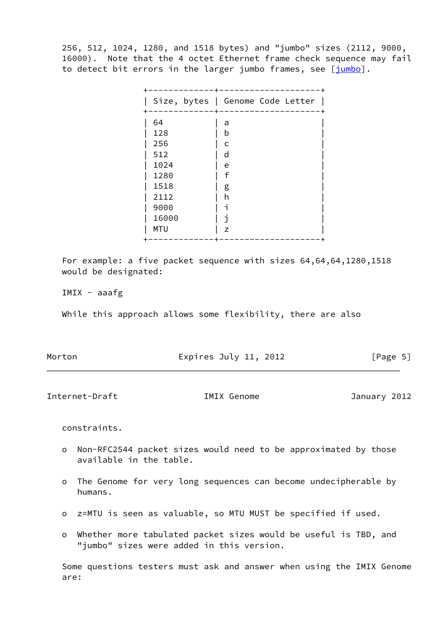256, 512, 1024, 1280, and 1518 bytes) and "jumbo" sizes (2112, 9000, 16000). Note that the 4 octet Ethernet frame check sequence may fail to detect bit errors in the larger jumbo frames, see [\[jumbo\]](#page-9-6).

|             | Size, bytes   Genome Code Letter |
|-------------|----------------------------------|
| $\pm$<br>64 | a                                |
| 128         | b                                |
| 256         | C                                |
| 512         | d                                |
| 1024        | e                                |
| 1280        | f                                |
| 1518        | g                                |
| 2112        | h                                |
| 9000        | ٦                                |
| 16000       |                                  |
| <b>MTU</b>  | Z                                |

 For example: a five packet sequence with sizes 64,64,64,1280,1518 would be designated:

IMIX - aaafg

While this approach allows some flexibility, there are also

| Morton | Expires July 11, 2012 | [Page 5] |
|--------|-----------------------|----------|
|        |                       |          |

<span id="page-5-0"></span>Internet-Draft IMIX Genome January 2012

constraints.

- o Non-RFC2544 packet sizes would need to be approximated by those available in the table.
- o The Genome for very long sequences can become undecipherable by humans.
- o z=MTU is seen as valuable, so MTU MUST be specified if used.
- o Whether more tabulated packet sizes would be useful is TBD, and "jumbo" sizes were added in this version.

 Some questions testers must ask and answer when using the IMIX Genome are: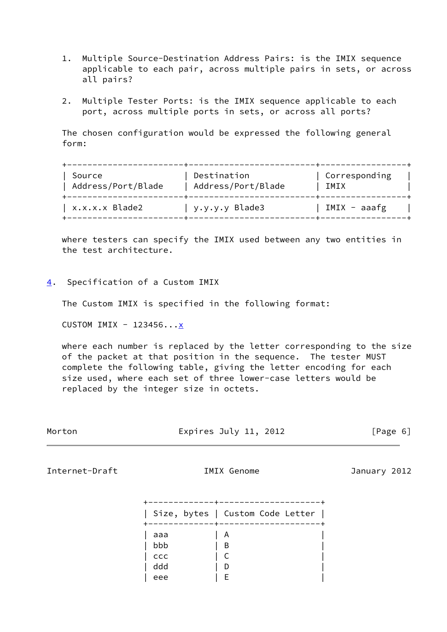- 1. Multiple Source-Destination Address Pairs: is the IMIX sequence applicable to each pair, across multiple pairs in sets, or across all pairs?
- 2. Multiple Tester Ports: is the IMIX sequence applicable to each port, across multiple ports in sets, or across all ports?

 The chosen configuration would be expressed the following general form:

| Source<br>Address/Port/Blade | Destination<br>Address/Port/Blade | Corresponding<br>IMIX |
|------------------------------|-----------------------------------|-----------------------|
| x.x.x.x Blade2               | y.y.y.y Blade3                    | IMIX - aaafg          |

 where testers can specify the IMIX used between any two entities in the test architecture.

<span id="page-6-0"></span>[4](#page-6-0). Specification of a Custom IMIX

The Custom IMIX is specified in the following format:

CUSTOM IMIX - 123456... $\underline{x}$ 

 where each number is replaced by the letter corresponding to the size of the packet at that position in the sequence. The tester MUST complete the following table, giving the letter encoding for each size used, where each set of three lower-case letters would be replaced by the integer size in octets.

| Morton | Expires July 11, 2012 | [Page 6] |  |
|--------|-----------------------|----------|--|
|        |                       |          |  |

<span id="page-6-1"></span>Internet-Draft IMIX Genome January 2012

|     | Size, bytes   Custom Code Letter |  |
|-----|----------------------------------|--|
| aaa | A                                |  |
| bbb | B                                |  |
| ccc |                                  |  |
| ddd | D                                |  |
| eee | F                                |  |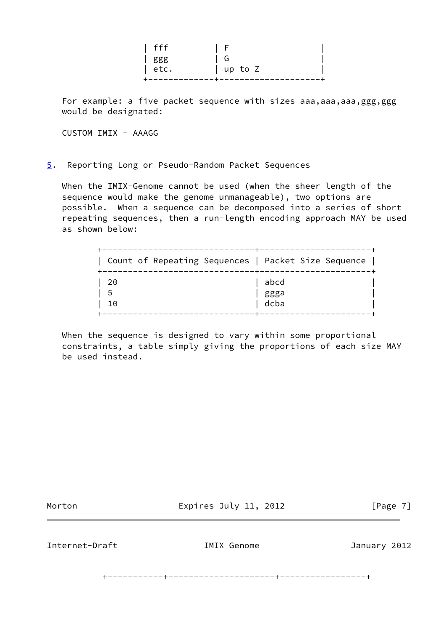| fff  | - F             |
|------|-----------------|
| ggg  | G               |
| etc. | $\vert$ up to Z |
|      |                 |

For example: a five packet sequence with sizes aaa, aaa, aaa, ggg, ggg would be designated:

CUSTOM IMIX - AAAGG

<span id="page-7-0"></span>[5](#page-7-0). Reporting Long or Pseudo-Random Packet Sequences

 When the IMIX-Genome cannot be used (when the sheer length of the sequence would make the genome unmanageable), two options are possible. When a sequence can be decomposed into a series of short repeating sequences, then a run-length encoding approach MAY be used as shown below:

| Count of Repeating Sequences   Packet Size Sequence |      |
|-----------------------------------------------------|------|
| 20                                                  | abcd |
| 5                                                   | ggga |
| 10                                                  | dcba |

When the sequence is designed to vary within some proportional constraints, a table simply giving the proportions of each size MAY be used instead.

Morton **Expires July 11, 2012** [Page 7]

<span id="page-7-1"></span>Internet-Draft IMIX Genome January 2012

+-----------+---------------------+-----------------+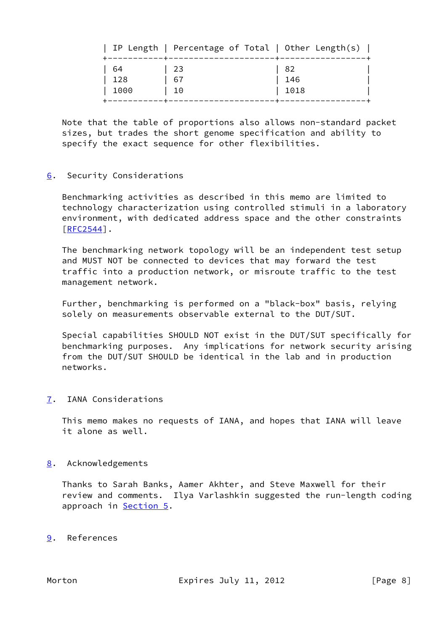|                    | IP Length   Percentage of Total   Other Length(s) |                     |
|--------------------|---------------------------------------------------|---------------------|
| -64<br>128<br>1000 | 23<br>-67<br>10                                   | - 82<br>146<br>1018 |
|                    |                                                   |                     |

 Note that the table of proportions also allows non-standard packet sizes, but trades the short genome specification and ability to specify the exact sequence for other flexibilities.

# <span id="page-8-0"></span>[6](#page-8-0). Security Considerations

 Benchmarking activities as described in this memo are limited to technology characterization using controlled stimuli in a laboratory environment, with dedicated address space and the other constraints [\[RFC2544](https://datatracker.ietf.org/doc/pdf/rfc2544)].

 The benchmarking network topology will be an independent test setup and MUST NOT be connected to devices that may forward the test traffic into a production network, or misroute traffic to the test management network.

 Further, benchmarking is performed on a "black-box" basis, relying solely on measurements observable external to the DUT/SUT.

 Special capabilities SHOULD NOT exist in the DUT/SUT specifically for benchmarking purposes. Any implications for network security arising from the DUT/SUT SHOULD be identical in the lab and in production networks.

## <span id="page-8-1"></span>[7](#page-8-1). IANA Considerations

 This memo makes no requests of IANA, and hopes that IANA will leave it alone as well.

## <span id="page-8-2"></span>[8](#page-8-2). Acknowledgements

 Thanks to Sarah Banks, Aamer Akhter, and Steve Maxwell for their review and comments. Ilya Varlashkin suggested the run-length coding approach in **[Section 5.](#page-7-0)** 

<span id="page-8-3"></span>[9](#page-8-3). References